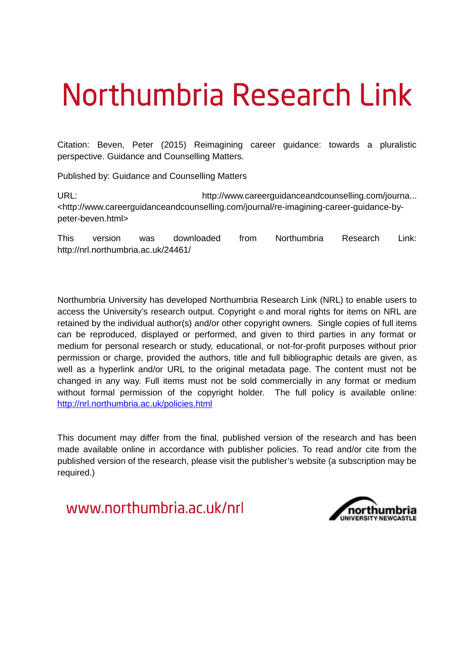# Northumbria Research Link

Citation: Beven, Peter (2015) Reimagining career guidance: towards a pluralistic perspective. Guidance and Counselling Matters.

Published by: Guidance and Counselling Matters

URL: http://www.careerguidanceandcounselling.com/journa... <http://www.careerguidanceandcounselling.com/journal/re-imagining-career-guidance-bypeter-beven.html>

This version was downloaded from Northumbria Research Link: http://nrl.northumbria.ac.uk/24461/

Northumbria University has developed Northumbria Research Link (NRL) to enable users to access the University's research output. Copyright  $\circ$  and moral rights for items on NRL are retained by the individual author(s) and/or other copyright owners. Single copies of full items can be reproduced, displayed or performed, and given to third parties in any format or medium for personal research or study, educational, or not-for-profit purposes without prior permission or charge, provided the authors, title and full bibliographic details are given, as well as a hyperlink and/or URL to the original metadata page. The content must not be changed in any way. Full items must not be sold commercially in any format or medium without formal permission of the copyright holder. The full policy is available online: <http://nrl.northumbria.ac.uk/policies.html>

This document may differ from the final, published version of the research and has been made available online in accordance with publisher policies. To read and/or cite from the published version of the research, please visit the publisher's website (a subscription may be required.)

www.northumbria.ac.uk/nrl

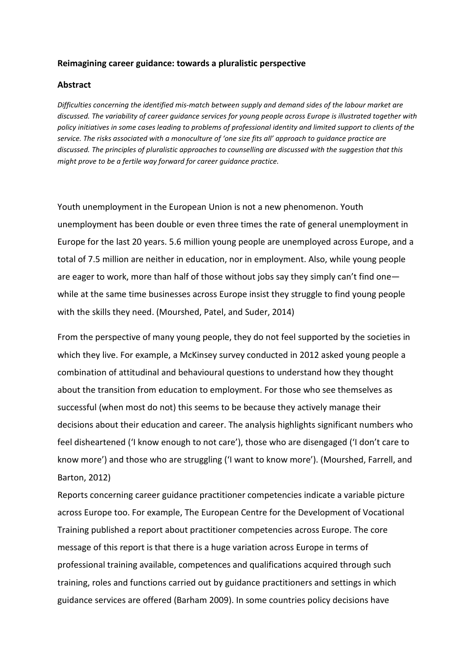# **Reimagining career guidance: towards a pluralistic perspective**

## **Abstract**

*Difficulties concerning the identified mis-match between supply and demand sides of the labour market are discussed. The variability of career guidance services for young people across Europe is illustrated together with policy initiatives in some cases leading to problems of professional identity and limited support to clients of the service. The risks associated with a monoculture of 'one size fits all' approach to guidance practice are discussed. The principles of pluralistic approaches to counselling are discussed with the suggestion that this might prove to be a fertile way forward for career guidance practice.*

Youth unemployment in the European Union is not a new phenomenon. Youth unemployment has been double or even three times the rate of general unemployment in Europe for the last 20 years. 5.6 million young people are unemployed across Europe, and a total of 7.5 million are neither in education, nor in employment. Also, while young people are eager to work, more than half of those without jobs say they simply can't find one while at the same time businesses across Europe insist they struggle to find young people with the skills they need. (Mourshed, Patel, and Suder, 2014)

From the perspective of many young people, they do not feel supported by the societies in which they live. For example, a McKinsey survey conducted in 2012 asked young people a combination of attitudinal and behavioural questions to understand how they thought about the transition from education to employment. For those who see themselves as successful (when most do not) this seems to be because they actively manage their decisions about their education and career. The analysis highlights significant numbers who feel disheartened ('I know enough to not care'), those who are disengaged ('I don't care to know more') and those who are struggling ('I want to know more'). (Mourshed, Farrell, and Barton, 2012)

Reports concerning career guidance practitioner competencies indicate a variable picture across Europe too. For example, The European Centre for the Development of Vocational Training published a report about practitioner competencies across Europe. The core message of this report is that there is a huge variation across Europe in terms of professional training available, competences and qualifications acquired through such training, roles and functions carried out by guidance practitioners and settings in which guidance services are offered (Barham 2009). In some countries policy decisions have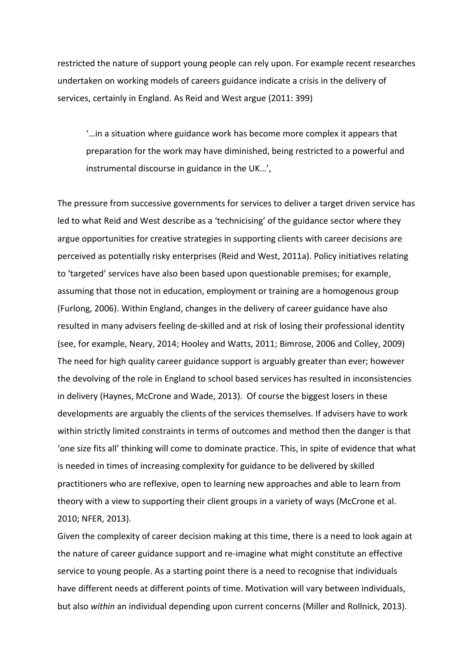restricted the nature of support young people can rely upon. For example recent researches undertaken on working models of careers guidance indicate a crisis in the delivery of services, certainly in England. As Reid and West argue (2011: 399)

'…in a situation where guidance work has become more complex it appears that preparation for the work may have diminished, being restricted to a powerful and instrumental discourse in guidance in the UK…',

The pressure from successive governments for services to deliver a target driven service has led to what Reid and West describe as a 'technicising' of the guidance sector where they argue opportunities for creative strategies in supporting clients with career decisions are perceived as potentially risky enterprises (Reid and West, 2011a). Policy initiatives relating to 'targeted' services have also been based upon questionable premises; for example, assuming that those not in education, employment or training are a homogenous group (Furlong, 2006). Within England, changes in the delivery of career guidance have also resulted in many advisers feeling de-skilled and at risk of losing their professional identity (see, for example, Neary, 2014; Hooley and Watts, 2011; Bimrose, 2006 and Colley, 2009) The need for high quality career guidance support is arguably greater than ever; however the devolving of the role in England to school based services has resulted in inconsistencies in delivery (Haynes, McCrone and Wade, 2013). Of course the biggest losers in these developments are arguably the clients of the services themselves. If advisers have to work within strictly limited constraints in terms of outcomes and method then the danger is that 'one size fits all' thinking will come to dominate practice. This, in spite of evidence that what is needed in times of increasing complexity for guidance to be delivered by skilled practitioners who are reflexive, open to learning new approaches and able to learn from theory with a view to supporting their client groups in a variety of ways (McCrone et al. 2010; NFER, 2013).

Given the complexity of career decision making at this time, there is a need to look again at the nature of career guidance support and re-imagine what might constitute an effective service to young people. As a starting point there is a need to recognise that individuals have different needs at different points of time. Motivation will vary between individuals, but also *within* an individual depending upon current concerns (Miller and Rollnick, 2013).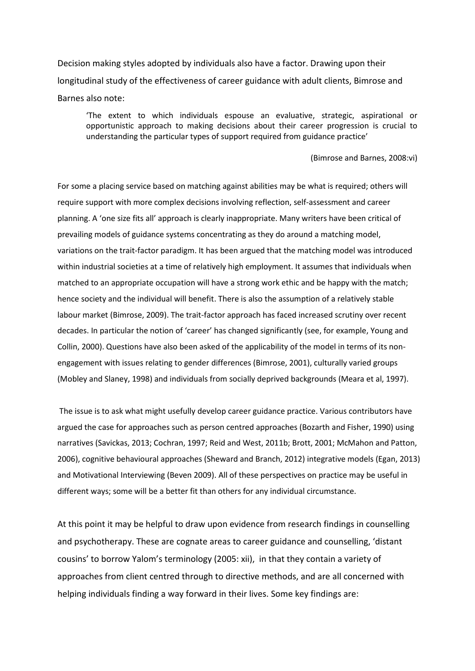Decision making styles adopted by individuals also have a factor. Drawing upon their longitudinal study of the effectiveness of career guidance with adult clients, Bimrose and Barnes also note:

'The extent to which individuals espouse an evaluative, strategic, aspirational or opportunistic approach to making decisions about their career progression is crucial to understanding the particular types of support required from guidance practice'

#### (Bimrose and Barnes, 2008:vi)

For some a placing service based on matching against abilities may be what is required; others will require support with more complex decisions involving reflection, self-assessment and career planning. A 'one size fits all' approach is clearly inappropriate. Many writers have been critical of prevailing models of guidance systems concentrating as they do around a matching model, variations on the trait-factor paradigm. It has been argued that the matching model was introduced within industrial societies at a time of relatively high employment. It assumes that individuals when matched to an appropriate occupation will have a strong work ethic and be happy with the match; hence society and the individual will benefit. There is also the assumption of a relatively stable labour market (Bimrose, 2009). The trait-factor approach has faced increased scrutiny over recent decades. In particular the notion of 'career' has changed significantly (see, for example, Young and Collin, 2000). Questions have also been asked of the applicability of the model in terms of its nonengagement with issues relating to gender differences (Bimrose, 2001), culturally varied groups (Mobley and Slaney, 1998) and individuals from socially deprived backgrounds (Meara et al, 1997).

 The issue is to ask what might usefully develop career guidance practice. Various contributors have argued the case for approaches such as person centred approaches (Bozarth and Fisher, 1990) using narratives (Savickas, 2013; Cochran, 1997; Reid and West, 2011b; Brott, 2001; McMahon and Patton, 2006), cognitive behavioural approaches (Sheward and Branch, 2012) integrative models (Egan, 2013) and Motivational Interviewing (Beven 2009). All of these perspectives on practice may be useful in different ways; some will be a better fit than others for any individual circumstance.

At this point it may be helpful to draw upon evidence from research findings in counselling and psychotherapy. These are cognate areas to career guidance and counselling, 'distant cousins' to borrow Yalom's terminology (2005: xii), in that they contain a variety of approaches from client centred through to directive methods, and are all concerned with helping individuals finding a way forward in their lives. Some key findings are: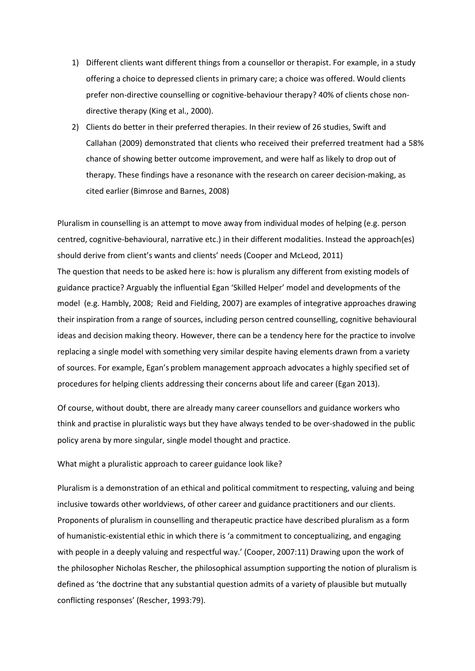- 1) Different clients want different things from a counsellor or therapist. For example, in a study offering a choice to depressed clients in primary care; a choice was offered. Would clients prefer non-directive counselling or cognitive-behaviour therapy? 40% of clients chose nondirective therapy (King et al., 2000).
- 2) Clients do better in their preferred therapies. In their review of 26 studies, Swift and Callahan (2009) demonstrated that clients who received their preferred treatment had a 58% chance of showing better outcome improvement, and were half as likely to drop out of therapy. These findings have a resonance with the research on career decision-making, as cited earlier (Bimrose and Barnes, 2008)

Pluralism in counselling is an attempt to move away from individual modes of helping (e.g. person centred, cognitive-behavioural, narrative etc.) in their different modalities. Instead the approach(es) should derive from client's wants and clients' needs (Cooper and McLeod, 2011) The question that needs to be asked here is: how is pluralism any different from existing models of guidance practice? Arguably the influential Egan 'Skilled Helper' model and developments of the model (e.g. Hambly, 2008; Reid and Fielding, 2007) are examples of integrative approaches drawing their inspiration from a range of sources, including person centred counselling, cognitive behavioural ideas and decision making theory. However, there can be a tendency here for the practice to involve replacing a single model with something very similar despite having elements drawn from a variety of sources. For example, Egan's problem management approach advocates a highly specified set of procedures for helping clients addressing their concerns about life and career (Egan 2013).

Of course, without doubt, there are already many career counsellors and guidance workers who think and practise in pluralistic ways but they have always tended to be over-shadowed in the public policy arena by more singular, single model thought and practice.

### What might a pluralistic approach to career guidance look like?

Pluralism is a demonstration of an ethical and political commitment to respecting, valuing and being inclusive towards other worldviews, of other career and guidance practitioners and our clients. Proponents of pluralism in counselling and therapeutic practice have described pluralism as a form of humanistic-existential ethic in which there is 'a commitment to conceptualizing, and engaging with people in a deeply valuing and respectful way.' (Cooper, 2007:11) Drawing upon the work of the philosopher Nicholas Rescher, the philosophical assumption supporting the notion of pluralism is defined as 'the doctrine that any substantial question admits of a variety of plausible but mutually conflicting responses' (Rescher, 1993:79).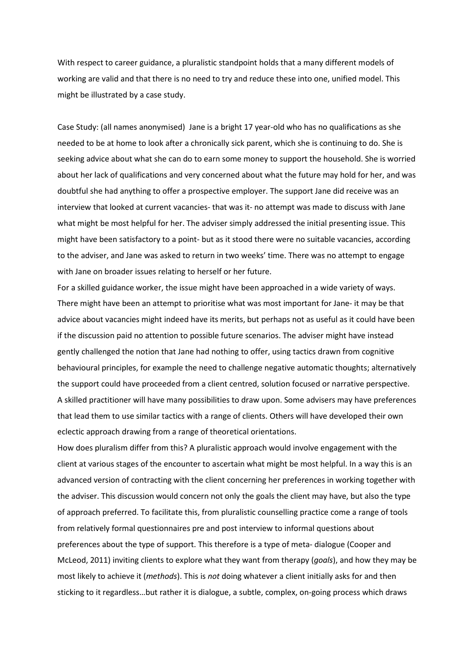With respect to career guidance, a pluralistic standpoint holds that a many different models of working are valid and that there is no need to try and reduce these into one, unified model. This might be illustrated by a case study.

Case Study: (all names anonymised) Jane is a bright 17 year-old who has no qualifications as she needed to be at home to look after a chronically sick parent, which she is continuing to do. She is seeking advice about what she can do to earn some money to support the household. She is worried about her lack of qualifications and very concerned about what the future may hold for her, and was doubtful she had anything to offer a prospective employer. The support Jane did receive was an interview that looked at current vacancies- that was it- no attempt was made to discuss with Jane what might be most helpful for her. The adviser simply addressed the initial presenting issue. This might have been satisfactory to a point- but as it stood there were no suitable vacancies, according to the adviser, and Jane was asked to return in two weeks' time. There was no attempt to engage with Jane on broader issues relating to herself or her future.

For a skilled guidance worker, the issue might have been approached in a wide variety of ways. There might have been an attempt to prioritise what was most important for Jane- it may be that advice about vacancies might indeed have its merits, but perhaps not as useful as it could have been if the discussion paid no attention to possible future scenarios. The adviser might have instead gently challenged the notion that Jane had nothing to offer, using tactics drawn from cognitive behavioural principles, for example the need to challenge negative automatic thoughts; alternatively the support could have proceeded from a client centred, solution focused or narrative perspective. A skilled practitioner will have many possibilities to draw upon. Some advisers may have preferences that lead them to use similar tactics with a range of clients. Others will have developed their own eclectic approach drawing from a range of theoretical orientations.

How does pluralism differ from this? A pluralistic approach would involve engagement with the client at various stages of the encounter to ascertain what might be most helpful. In a way this is an advanced version of contracting with the client concerning her preferences in working together with the adviser. This discussion would concern not only the goals the client may have, but also the type of approach preferred. To facilitate this, from pluralistic counselling practice come a range of tools from relatively formal questionnaires pre and post interview to informal questions about preferences about the type of support. This therefore is a type of meta- dialogue (Cooper and McLeod, 2011) inviting clients to explore what they want from therapy (*goals*), and how they may be most likely to achieve it (*methods*). This is *not* doing whatever a client initially asks for and then sticking to it regardless…but rather it is dialogue, a subtle, complex, on-going process which draws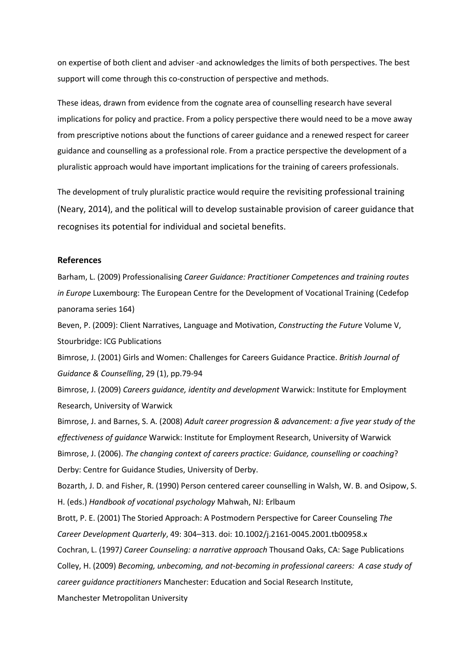on expertise of both client and adviser -and acknowledges the limits of both perspectives. The best support will come through this co-construction of perspective and methods.

These ideas, drawn from evidence from the cognate area of counselling research have several implications for policy and practice. From a policy perspective there would need to be a move away from prescriptive notions about the functions of career guidance and a renewed respect for career guidance and counselling as a professional role. From a practice perspective the development of a pluralistic approach would have important implications for the training of careers professionals.

The development of truly pluralistic practice would require the revisiting professional training (Neary, 2014), and the political will to develop sustainable provision of career guidance that recognises its potential for individual and societal benefits.

## **References**

Barham, L. (2009) Professionalising *Career Guidance: Practitioner Competences and training routes in Europe* Luxembourg: The European Centre for the Development of Vocational Training (Cedefop panorama series 164)

Beven, P. (2009): Client Narratives, Language and Motivation, *Constructing the Future* Volume V, Stourbridge: ICG Publications

Bimrose, J. (2001) Girls and Women: Challenges for Careers Guidance Practice. *British Journal of Guidance & Counselling*, 29 (1), pp.79-94

Bimrose, J. (2009) *Careers guidance, identity and development* Warwick: Institute for Employment Research, University of Warwick

Bimrose, J. and Barnes, S. A. (2008) *Adult career progression & advancement: a five year study of the effectiveness of guidance* Warwick: Institute for Employment Research, University of Warwick Bimrose, J. (2006). *The changing context of careers practice: Guidance, counselling or coaching*? Derby: Centre for Guidance Studies, University of Derby.

Bozarth, J. D. and Fisher, R. (1990) Person centered career counselling in Walsh, W. B. and Osipow, S. H. (eds.) *Handbook of vocational psychology* Mahwah, NJ: Erlbaum

Brott, P. E. (2001) The Storied Approach: A Postmodern Perspective for Career Counseling *The Career Development Quarterly*, 49: 304–313. doi: 10.1002/j.2161-0045.2001.tb00958.x

Cochran, L. (1997*) Career Counseling: a narrative approach* Thousand Oaks, CA: Sage Publications Colley, H. (2009) *Becoming, unbecoming, and not-becoming in professional careers: A case study of career guidance practitioners* Manchester: Education and Social Research Institute, Manchester Metropolitan University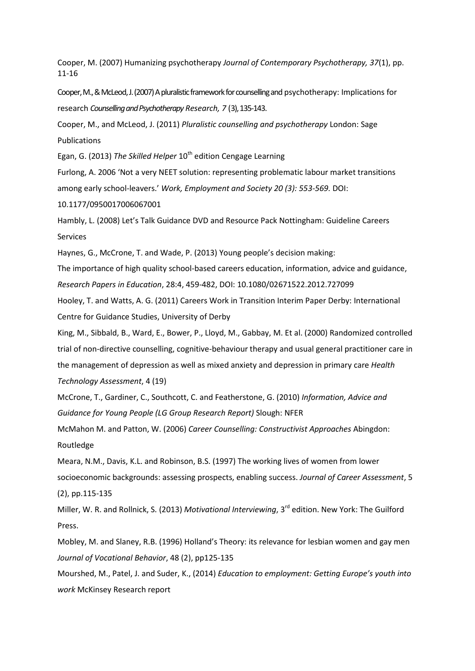Cooper, M. (2007) Humanizing psychotherapy *Journal of Contemporary Psychotherapy, 37*(1), pp. 11-16

Cooper, M., & McLeod, J. (2007) A pluralistic framework for counselling and psychotherapy: Implications for research *Counselling and Psychotherapy Research, 7 (3)*, 135-143.

Cooper, M., and McLeod, J. (2011) *Pluralistic counselling and psychotherapy* London: Sage Publications

Egan, G. (2013) *The Skilled Helper* 10<sup>th</sup> edition Cengage Learning

Furlong, A. 2006 'Not a very NEET solution: representing problematic labour market transitions among early school-leavers.' *Work, Employment and Society 20 (3): 553-569.* DOI:

10.1177/0950017006067001

Hambly, L. (2008) Let's Talk Guidance DVD and Resource Pack Nottingham: Guideline Careers Services

Haynes, G., McCrone, T. and Wade, P. (2013) Young people's decision making:

The importance of high quality school-based careers education, information, advice and guidance, *Research Papers in Education*, 28:4, 459-482, DOI: 10.1080/02671522.2012.727099

Hooley, T. and Watts, A. G. (2011) Careers Work in Transition Interim Paper Derby: International Centre for Guidance Studies, University of Derby

King, M., Sibbald, B., Ward, E., Bower, P., Lloyd, M., Gabbay, M. Et al. (2000) Randomized controlled trial of non-directive counselling, cognitive-behaviour therapy and usual general practitioner care in the management of depression as well as mixed anxiety and depression in primary care *Health Technology Assessment*, 4 (19)

McCrone, T., Gardiner, C., Southcott, C. and Featherstone, G. (2010) *Information, Advice and Guidance for Young People (LG Group Research Report)* Slough: NFER

McMahon M. and Patton, W. (2006) *Career Counselling: Constructivist Approaches* Abingdon: Routledge

Meara, N.M., Davis, K.L. and Robinson, B.S. (1997) The working lives of women from lower socioeconomic backgrounds: assessing prospects, enabling success. *Journal of Career Assessment*, 5 (2), pp.115-135

Miller, W. R. and Rollnick, S. (2013) *Motivational Interviewing*, 3<sup>rd</sup> edition. New York: The Guilford Press.

Mobley, M. and Slaney, R.B. (1996) Holland's Theory: its relevance for lesbian women and gay men *Journal of Vocational Behavior*, 48 (2), pp125-135

Mourshed, M., Patel, J. and Suder, K., (2014) *Education to employment: Getting Europe's youth into work* McKinsey Research report